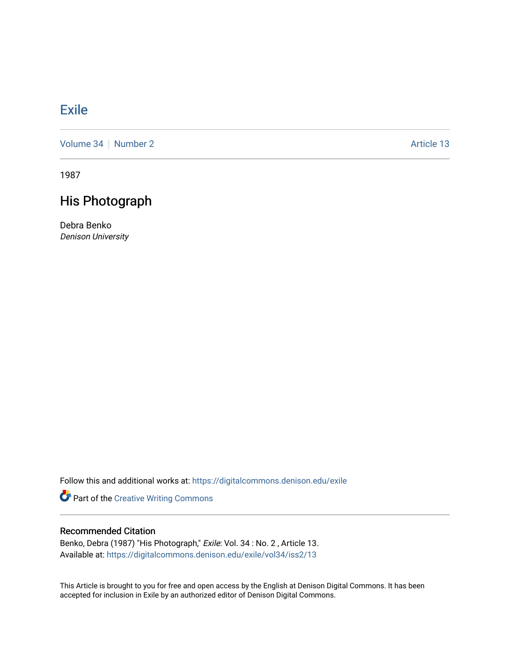## **[Exile](https://digitalcommons.denison.edu/exile)**

[Volume 34](https://digitalcommons.denison.edu/exile/vol34) [Number 2](https://digitalcommons.denison.edu/exile/vol34/iss2) Article 13

1987

## His Photograph

Debra Benko Denison University

Follow this and additional works at: [https://digitalcommons.denison.edu/exile](https://digitalcommons.denison.edu/exile?utm_source=digitalcommons.denison.edu%2Fexile%2Fvol34%2Fiss2%2F13&utm_medium=PDF&utm_campaign=PDFCoverPages) 

Part of the [Creative Writing Commons](http://network.bepress.com/hgg/discipline/574?utm_source=digitalcommons.denison.edu%2Fexile%2Fvol34%2Fiss2%2F13&utm_medium=PDF&utm_campaign=PDFCoverPages) 

## Recommended Citation

Benko, Debra (1987) "His Photograph," Exile: Vol. 34 : No. 2 , Article 13. Available at: [https://digitalcommons.denison.edu/exile/vol34/iss2/13](https://digitalcommons.denison.edu/exile/vol34/iss2/13?utm_source=digitalcommons.denison.edu%2Fexile%2Fvol34%2Fiss2%2F13&utm_medium=PDF&utm_campaign=PDFCoverPages)

This Article is brought to you for free and open access by the English at Denison Digital Commons. It has been accepted for inclusion in Exile by an authorized editor of Denison Digital Commons.